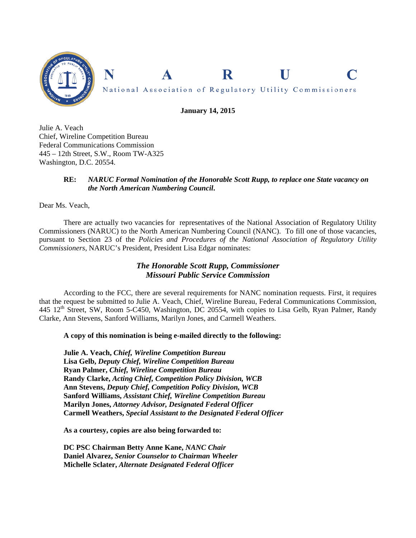

**January 14, 2015** 

Julie A. Veach Chief, Wireline Competition Bureau Federal Communications Commission 445 – 12th Street, S.W., Room TW-A325 Washington, D.C. 20554.

### **RE:** *NARUC Formal Nomination of the Honorable Scott Rupp, to replace one State vacancy on the North American Numbering Council***.**

Dear Ms. Veach,

 There are actually two vacancies for representatives of the National Association of Regulatory Utility Commissioners (NARUC) to the North American Numbering Council (NANC). To fill one of those vacancies, pursuant to Section 23 of the *Policies and Procedures of the National Association of Regulatory Utility Commissioners*, NARUC's President, President Lisa Edgar nominates:

# *The Honorable Scott Rupp, Commissioner Missouri Public Service Commission*

According to the FCC, there are several requirements for NANC nomination requests. First, it requires that the request be submitted to Julie A. Veach, Chief, Wireline Bureau, Federal Communications Commission, 445 12<sup>th</sup> Street, SW, Room 5-C450, Washington, DC 20554, with copies to Lisa Gelb, Ryan Palmer, Randy Clarke, Ann Stevens, Sanford Williams, Marilyn Jones, and Carmell Weathers.

## **A copy of this nomination is being e-mailed directly to the following:**

 **Julie A. Veach,** *Chief, Wireline Competition Bureau*  **Lisa Gelb,** *Deputy Chief, Wireline Competition Bureau* **Ryan Palmer,** *Chief, Wireline Competition Bureau*  **Randy Clarke,** *Acting Chief, Competition Policy Division, WCB* **Ann Stevens,** *Deputy Chief, Competition Policy Division, WCB*  **Sanford Williams,** *Assistant Chief, Wireline Competition Bureau*  **Marilyn Jones,** *Attorney Advisor, Designated Federal Officer*  **Carmell Weathers,** *Special Assistant to the Designated Federal Officer*

**As a courtesy, copies are also being forwarded to:** 

**DC PSC Chairman Betty Anne Kane,** *NANC Chair* **Daniel Alvarez,** *Senior Counselor to Chairman Wheeler*  **Michelle Sclater,** *Alternate Designated Federal Officer*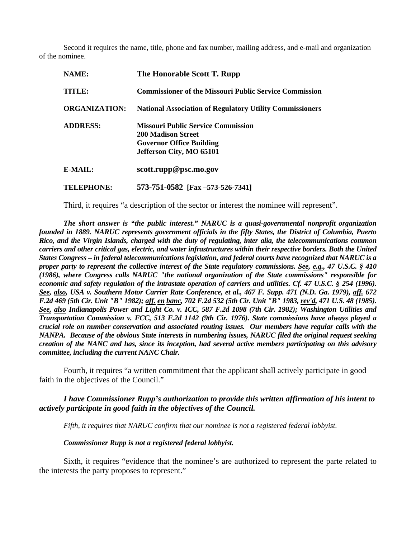Second it requires the name, title, phone and fax number, mailing address, and e-mail and organization of the nominee.

| NAME:                | The Honorable Scott T. Rupp                                                                                                           |
|----------------------|---------------------------------------------------------------------------------------------------------------------------------------|
| TITLE:               | <b>Commissioner of the Missouri Public Service Commission</b>                                                                         |
| <b>ORGANIZATION:</b> | <b>National Association of Regulatory Utility Commissioners</b>                                                                       |
| <b>ADDRESS:</b>      | <b>Missouri Public Service Commission</b><br><b>200 Madison Street</b><br><b>Governor Office Building</b><br>Jefferson City, MO 65101 |
| E-MAIL:              | scott.rupp@psc.mo.gov                                                                                                                 |
| <b>TELEPHONE:</b>    | 573-751-0582 [Fax -573-526-7341]                                                                                                      |

Third, it requires "a description of the sector or interest the nominee will represent".

 *The short answer is "the public interest." NARUC is a quasi-governmental nonprofit organization founded in 1889. NARUC represents government officials in the fifty States, the District of Columbia, Puerto Rico, and the Virgin Islands, charged with the duty of regulating, inter alia, the telecommunications common carriers and other critical gas, electric, and water infrastructures within their respective borders. Both the United States Congress – in federal telecommunications legislation, and federal courts have recognized that NARUC is a proper party to represent the collective interest of the State regulatory commissions. See, e.g., 47 U.S.C. § 410 (1986), where Congress calls NARUC "the national organization of the State commissions" responsible for economic and safety regulation of the intrastate operation of carriers and utilities. Cf. 47 U.S.C. § 254 (1996). See, also, USA v. Southern Motor Carrier Rate Conference, et al., 467 F. Supp. 471 (N.D. Ga. 1979), aff. 672 F.2d 469 (5th Cir. Unit "B" 1982); aff. en banc, 702 F.2d 532 (5th Cir. Unit "B" 1983, rev'd, 471 U.S. 48 (1985). See, also Indianapolis Power and Light Co. v. ICC, 587 F.2d 1098 (7th Cir. 1982); Washington Utilities and Transportation Commission v. FCC, 513 F.2d 1142 (9th Cir. 1976). State commissions have always played a crucial role on number conservation and associated routing issues. Our members have regular calls with the NANPA. Because of the obvious State interests in numbering issues, NARUC filed the original request seeking creation of the NANC and has, since its inception, had several active members participating on this advisory committee, including the current NANC Chair.* 

Fourth, it requires "a written commitment that the applicant shall actively participate in good faith in the objectives of the Council."

*I have Commissioner Rupp's authorization to provide this written affirmation of his intent to actively participate in good faith in the objectives of the Council.* 

*Fifth, it requires that NARUC confirm that our nominee is not a registered federal lobbyist.* 

 *Commissioner Rupp is not a registered federal lobbyist.* 

Sixth, it requires "evidence that the nominee's are authorized to represent the parte related to the interests the party proposes to represent."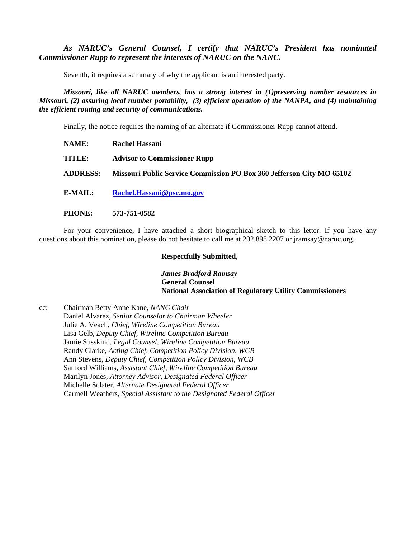*As NARUC's General Counsel, I certify that NARUC's President has nominated Commissioner Rupp to represent the interests of NARUC on the NANC.* 

Seventh, it requires a summary of why the applicant is an interested party.

 *Missouri, like all NARUC members, has a strong interest in (1)preserving number resources in Missouri, (2) assuring local number portability, (3) efficient operation of the NANPA, and (4) maintaining the efficient routing and security of communications.* 

Finally, the notice requires the naming of an alternate if Commissioner Rupp cannot attend.

- **NAME: Rachel Hassani TITLE: Advisor to Commissioner Rupp ADDRESS: Missouri Public Service Commission PO Box 360 Jefferson City MO 65102 E-MAIL: Rachel.Hassani@psc.mo.gov**
- **PHONE: 573-751-0582**

For your convenience, I have attached a short biographical sketch to this letter. If you have any questions about this nomination, please do not hesitate to call me at 202.898.2207 or jramsay@naruc.org.

### **Respectfully Submitted,**

*James Bradford Ramsay*   **General Counsel National Association of Regulatory Utility Commissioners** 

cc: Chairman Betty Anne Kane, *NANC Chair* Daniel Alvarez, *Senior Counselor to Chairman Wheeler*  Julie A. Veach, *Chief, Wireline Competition Bureau*  Lisa Gelb, *Deputy Chief, Wireline Competition Bureau* Jamie Susskind, *Legal Counsel, Wireline Competition Bureau*  Randy Clarke, *Acting Chief, Competition Policy Division, WCB* Ann Stevens, *Deputy Chief, Competition Policy Division, WCB*  Sanford Williams, *Assistant Chief, Wireline Competition Bureau* Marilyn Jones, *Attorney Advisor, Designated Federal Officer* Michelle Sclater, *Alternate Designated Federal Officer* Carmell Weathers, *Special Assistant to the Designated Federal Officer*